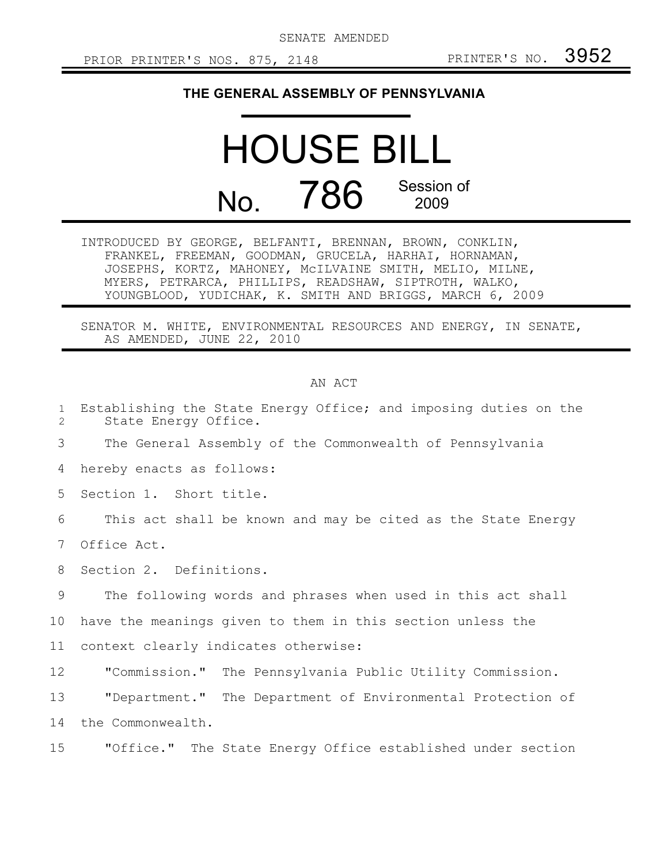SENATE AMENDED

## **THE GENERAL ASSEMBLY OF PENNSYLVANIA**

## HOUSE BILL No. 786 Session of 2009

INTRODUCED BY GEORGE, BELFANTI, BRENNAN, BROWN, CONKLIN, FRANKEL, FREEMAN, GOODMAN, GRUCELA, HARHAI, HORNAMAN, JOSEPHS, KORTZ, MAHONEY, McILVAINE SMITH, MELIO, MILNE, MYERS, PETRARCA, PHILLIPS, READSHAW, SIPTROTH, WALKO, YOUNGBLOOD, YUDICHAK, K. SMITH AND BRIGGS, MARCH 6, 2009

SENATOR M. WHITE, ENVIRONMENTAL RESOURCES AND ENERGY, IN SENATE, AS AMENDED, JUNE 22, 2010

## AN ACT

| $\mathbf{1}$<br>$\overline{2}$ | Establishing the State Energy Office; and imposing duties on the<br>State Energy Office. |
|--------------------------------|------------------------------------------------------------------------------------------|
| 3                              | The General Assembly of the Commonwealth of Pennsylvania                                 |
| 4                              | hereby enacts as follows:                                                                |
| 5                              | Section 1. Short title.                                                                  |
| 6                              | This act shall be known and may be cited as the State Energy                             |
| 7                              | Office Act.                                                                              |
| 8                              | Section 2. Definitions.                                                                  |
| 9                              | The following words and phrases when used in this act shall                              |
| 10                             | have the meanings given to them in this section unless the                               |
| 11                             | context clearly indicates otherwise:                                                     |
| 12                             | "Commission." The Pennsylvania Public Utility Commission.                                |
| 13                             | "Department." The Department of Environmental Protection of                              |
| 14                             | the Commonwealth.                                                                        |
| 15                             | "Office." The State Energy Office established under section                              |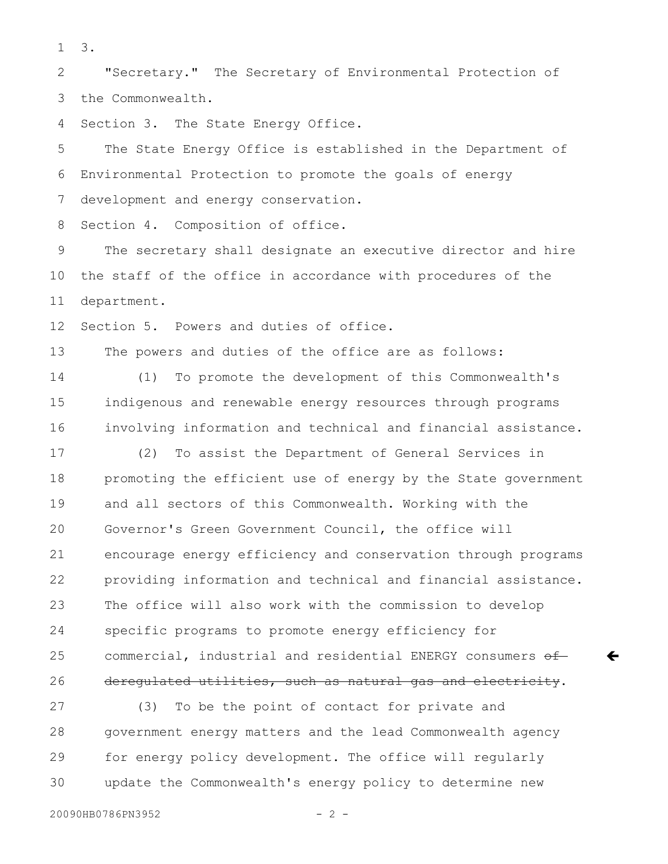3. 1

"Secretary." The Secretary of Environmental Protection of the Commonwealth. 2 3

Section 3. The State Energy Office. 4

The State Energy Office is established in the Department of Environmental Protection to promote the goals of energy development and energy conservation. 5 6 7

Section 4. Composition of office. 8

The secretary shall designate an executive director and hire the staff of the office in accordance with procedures of the department. 9 10 11

Section 5. Powers and duties of office. 12

The powers and duties of the office are as follows: 13

(1) To promote the development of this Commonwealth's indigenous and renewable energy resources through programs involving information and technical and financial assistance. 14 15 16

(2) To assist the Department of General Services in promoting the efficient use of energy by the State government and all sectors of this Commonwealth. Working with the Governor's Green Government Council, the office will encourage energy efficiency and conservation through programs providing information and technical and financial assistance. The office will also work with the commission to develop specific programs to promote energy efficiency for commercial, industrial and residential ENERGY consumers of deregulated utilities, such as natural gas and electricity. 17 18 19 20 21 22 23 24 25 26

(3) To be the point of contact for private and government energy matters and the lead Commonwealth agency for energy policy development. The office will regularly update the Commonwealth's energy policy to determine new 27 28 29 30

 $\leftarrow$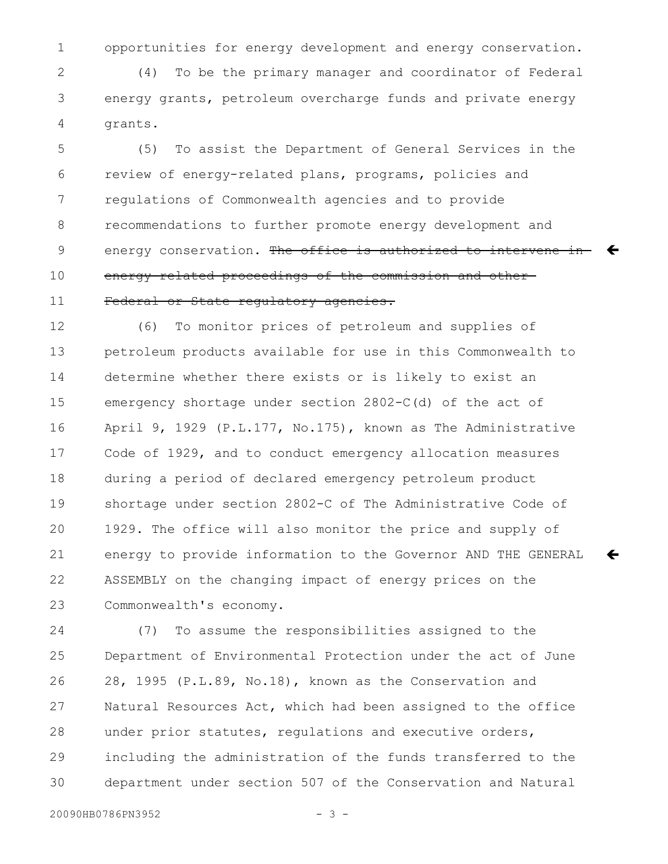opportunities for energy development and energy conservation. 1

(4) To be the primary manager and coordinator of Federal energy grants, petroleum overcharge funds and private energy grants. 2 3 4

(5) To assist the Department of General Services in the review of energy-related plans, programs, policies and regulations of Commonwealth agencies and to provide recommendations to further promote energy development and energy conservation. <del>The office is authorized to intervene in  $\leftarrow$ </del> energy-related proceedings of the commission and other Federal or State regulatory agencies. 5 6 7 8 9 10 11

(6) To monitor prices of petroleum and supplies of petroleum products available for use in this Commonwealth to determine whether there exists or is likely to exist an emergency shortage under section 2802-C(d) of the act of April 9, 1929 (P.L.177, No.175), known as The Administrative Code of 1929, and to conduct emergency allocation measures during a period of declared emergency petroleum product shortage under section 2802-C of The Administrative Code of 1929. The office will also monitor the price and supply of energy to provide information to the Governor AND THE GENERAL ASSEMBLY on the changing impact of energy prices on the Commonwealth's economy. 12 13 14 15 16 17 18 19 20 21 22 23

 $\leftarrow$ 

(7) To assume the responsibilities assigned to the Department of Environmental Protection under the act of June 28, 1995 (P.L.89, No.18), known as the Conservation and Natural Resources Act, which had been assigned to the office under prior statutes, regulations and executive orders, including the administration of the funds transferred to the department under section 507 of the Conservation and Natural 24 25 26 27 28 29 30